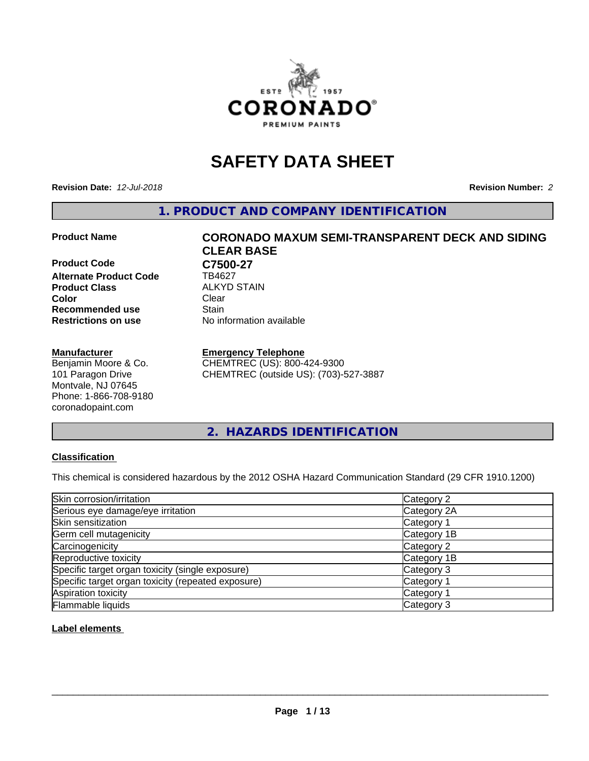

# **SAFETY DATA SHEET**

**Revision Date:** *12-Jul-2018* **Revision Number:** *2*

**1. PRODUCT AND COMPANY IDENTIFICATION**

**Product Code C7500-27**<br>Alternate Product Code TB4627 **Alternate Product Code Product Class ALKYD STAIN**<br> **Color** Clear **Color** Clear Clear **Recommended use Stain Restrictions on use** No information available

#### **Manufacturer**

Benjamin Moore & Co. 101 Paragon Drive Montvale, NJ 07645 Phone: 1-866-708-9180 coronadopaint.com

# **Product Name CORONADO MAXUM SEMI-TRANSPARENT DECK AND SIDING CLEAR BASE**

#### **Emergency Telephone**

CHEMTREC (US): 800-424-9300 CHEMTREC (outside US): (703)-527-3887

**2. HAZARDS IDENTIFICATION**

### **Classification**

This chemical is considered hazardous by the 2012 OSHA Hazard Communication Standard (29 CFR 1910.1200)

| Skin corrosion/irritation                          | Category 2            |
|----------------------------------------------------|-----------------------|
| Serious eye damage/eye irritation                  | Category 2A           |
| Skin sensitization                                 | Category 1            |
| Germ cell mutagenicity                             | Category 1B           |
| Carcinogenicity                                    | Category 2            |
| Reproductive toxicity                              | Category 1B           |
| Specific target organ toxicity (single exposure)   | Category 3            |
| Specific target organ toxicity (repeated exposure) | Category <sup>-</sup> |
| Aspiration toxicity                                | Category 1            |
| Flammable liquids                                  | Category 3            |

### **Label elements**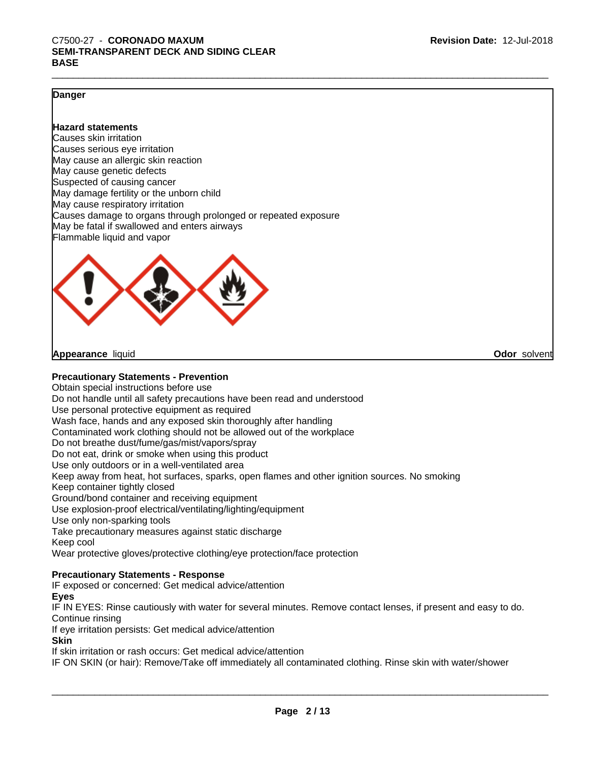#### **Danger**

#### **Hazard statements**

Causes skin irritation Causes serious eye irritation May cause an allergic skin reaction May cause genetic defects Suspected of causing cancer May damage fertility or the unborn child May cause respiratory irritation Causes damage to organs through prolonged or repeated exposure May be fatal if swallowed and enters airways Flammable liquid and vapor



**Appearance** liquid

**Odor** solvent

#### **Precautionary Statements - Prevention**

Obtain special instructions before use Do not handle until all safety precautions have been read and understood Use personal protective equipment as required Wash face, hands and any exposed skin thoroughly after handling Contaminated work clothing should not be allowed out of the workplace Do not breathe dust/fume/gas/mist/vapors/spray Do not eat, drink or smoke when using this product Use only outdoors or in a well-ventilated area Keep away from heat, hot surfaces, sparks, open flames and other ignition sources. No smoking Keep container tightly closed Ground/bond container and receiving equipment Use explosion-proof electrical/ventilating/lighting/equipment Use only non-sparking tools Take precautionary measures against static discharge Keep cool Wear protective gloves/protective clothing/eye protection/face protection

#### **Precautionary Statements - Response**

IF exposed or concerned: Get medical advice/attention

#### **Eyes**

IF IN EYES: Rinse cautiously with water for several minutes. Remove contact lenses, if present and easy to do. Continue rinsing

If eye irritation persists: Get medical advice/attention

**Skin**

If skin irritation or rash occurs: Get medical advice/attention

IF ON SKIN (or hair): Remove/Take off immediately all contaminated clothing. Rinse skin with water/shower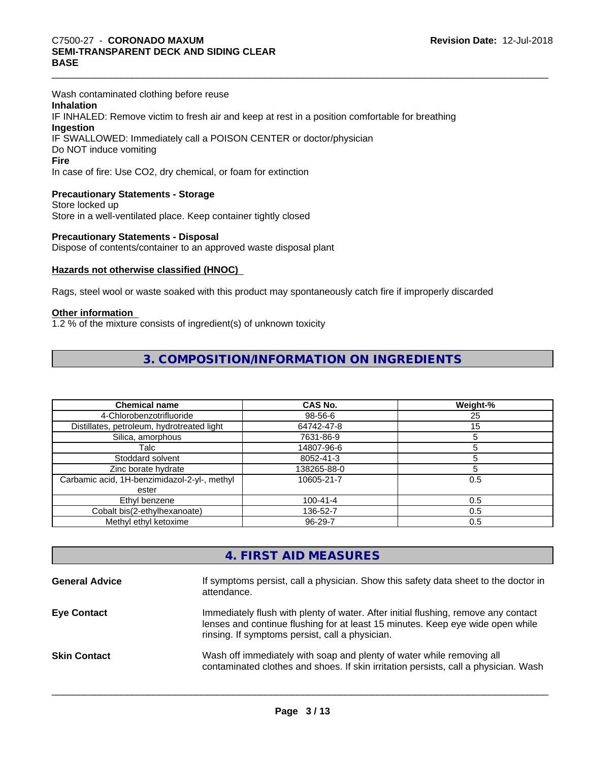Wash contaminated clothing before reuse **Inhalation** IF INHALED: Remove victim to fresh air and keep at rest in a position comfortable for breathing **Ingestion** IF SWALLOWED: Immediately call a POISON CENTER or doctor/physician Do NOT induce vomiting **Fire** In case of fire: Use CO2, dry chemical, or foam for extinction

### **Precautionary Statements - Storage**

Store locked up Store in a well-ventilated place. Keep container tightly closed

#### **Precautionary Statements - Disposal**

Dispose of contents/container to an approved waste disposal plant

### **Hazards not otherwise classified (HNOC)**

Rags, steel wool or waste soaked with this product may spontaneously catch fire if improperly discarded

#### **Other information**

1.2 % of the mixture consists of ingredient(s) of unknown toxicity

## **3. COMPOSITION/INFORMATION ON INGREDIENTS**

| <b>Chemical name</b>                         | CAS No.        | Weight-% |
|----------------------------------------------|----------------|----------|
| 4-Chlorobenzotrifluoride                     | 98-56-6        | 25       |
| Distillates, petroleum, hydrotreated light   | 64742-47-8     | 15       |
| Silica, amorphous                            | 7631-86-9      |          |
| Talc                                         | 14807-96-6     |          |
| Stoddard solvent                             | 8052-41-3      |          |
| Zinc borate hydrate                          | 138265-88-0    |          |
| Carbamic acid, 1H-benzimidazol-2-yl-, methyl | 10605-21-7     | 0.5      |
| ester                                        |                |          |
| Ethyl benzene                                | $100 - 41 - 4$ | 0.5      |
| Cobalt bis(2-ethylhexanoate)                 | 136-52-7       | 0.5      |
| Methyl ethyl ketoxime                        | $96 - 29 - 7$  | 0.5      |

## **4. FIRST AID MEASURES**

| <b>General Advice</b> | If symptoms persist, call a physician. Show this safety data sheet to the doctor in<br>attendance.                                                                                                                      |
|-----------------------|-------------------------------------------------------------------------------------------------------------------------------------------------------------------------------------------------------------------------|
| <b>Eve Contact</b>    | Immediately flush with plenty of water. After initial flushing, remove any contact<br>lenses and continue flushing for at least 15 minutes. Keep eye wide open while<br>rinsing. If symptoms persist, call a physician. |
| <b>Skin Contact</b>   | Wash off immediately with soap and plenty of water while removing all<br>contaminated clothes and shoes. If skin irritation persists, call a physician. Wash                                                            |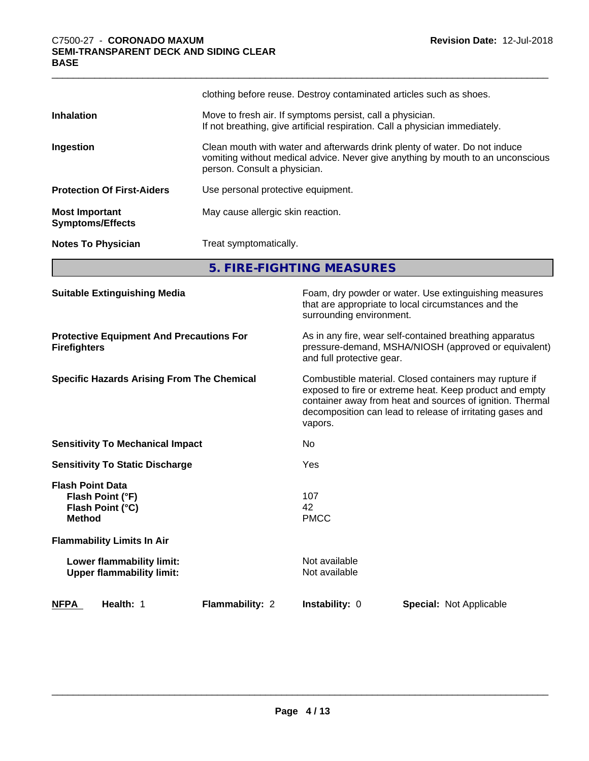|                                                  | clothing before reuse. Destroy contaminated articles such as shoes.                                                                                                                           |
|--------------------------------------------------|-----------------------------------------------------------------------------------------------------------------------------------------------------------------------------------------------|
| <b>Inhalation</b>                                | Move to fresh air. If symptoms persist, call a physician.<br>If not breathing, give artificial respiration. Call a physician immediately.                                                     |
| Ingestion                                        | Clean mouth with water and afterwards drink plenty of water. Do not induce<br>vomiting without medical advice. Never give anything by mouth to an unconscious<br>person. Consult a physician. |
| <b>Protection Of First-Aiders</b>                | Use personal protective equipment.                                                                                                                                                            |
| <b>Most Important</b><br><b>Symptoms/Effects</b> | May cause allergic skin reaction.                                                                                                                                                             |
| <b>Notes To Physician</b>                        | Treat symptomatically.                                                                                                                                                                        |
|                                                  |                                                                                                                                                                                               |

**5. FIRE-FIGHTING MEASURES**

| <b>Suitable Extinguishing Media</b>                                              |                 | surrounding environment.                                                                                                                                                                                                                               | Foam, dry powder or water. Use extinguishing measures<br>that are appropriate to local circumstances and the |  |
|----------------------------------------------------------------------------------|-----------------|--------------------------------------------------------------------------------------------------------------------------------------------------------------------------------------------------------------------------------------------------------|--------------------------------------------------------------------------------------------------------------|--|
| <b>Protective Equipment And Precautions For</b><br><b>Firefighters</b>           |                 | As in any fire, wear self-contained breathing apparatus<br>pressure-demand, MSHA/NIOSH (approved or equivalent)<br>and full protective gear.                                                                                                           |                                                                                                              |  |
| <b>Specific Hazards Arising From The Chemical</b>                                |                 | Combustible material. Closed containers may rupture if<br>exposed to fire or extreme heat. Keep product and empty<br>container away from heat and sources of ignition. Thermal<br>decomposition can lead to release of irritating gases and<br>vapors. |                                                                                                              |  |
| <b>Sensitivity To Mechanical Impact</b>                                          |                 | No.                                                                                                                                                                                                                                                    |                                                                                                              |  |
| <b>Sensitivity To Static Discharge</b>                                           |                 | Yes                                                                                                                                                                                                                                                    |                                                                                                              |  |
| <b>Flash Point Data</b><br>Flash Point (°F)<br>Flash Point (°C)<br><b>Method</b> |                 | 107<br>42<br><b>PMCC</b>                                                                                                                                                                                                                               |                                                                                                              |  |
| <b>Flammability Limits In Air</b>                                                |                 |                                                                                                                                                                                                                                                        |                                                                                                              |  |
| Lower flammability limit:<br><b>Upper flammability limit:</b>                    |                 | Not available<br>Not available                                                                                                                                                                                                                         |                                                                                                              |  |
| <b>NFPA</b><br>Health: 1                                                         | Flammability: 2 | <b>Instability: 0</b>                                                                                                                                                                                                                                  | <b>Special: Not Applicable</b>                                                                               |  |
|                                                                                  |                 |                                                                                                                                                                                                                                                        |                                                                                                              |  |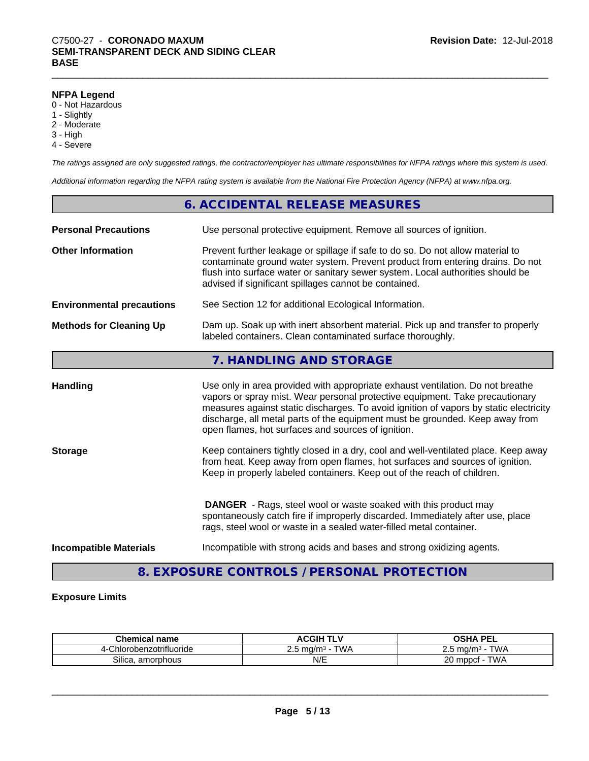#### **NFPA Legend**

- 0 Not Hazardous
- 1 Slightly
- 2 Moderate
- 3 High
- 4 Severe

*The ratings assigned are only suggested ratings, the contractor/employer has ultimate responsibilities for NFPA ratings where this system is used.*

*Additional information regarding the NFPA rating system is available from the National Fire Protection Agency (NFPA) at www.nfpa.org.*

|                                  | 6. ACCIDENTAL RELEASE MEASURES                                                                                                                                                                                                                                                                                                                                                                |
|----------------------------------|-----------------------------------------------------------------------------------------------------------------------------------------------------------------------------------------------------------------------------------------------------------------------------------------------------------------------------------------------------------------------------------------------|
| <b>Personal Precautions</b>      | Use personal protective equipment. Remove all sources of ignition.                                                                                                                                                                                                                                                                                                                            |
| <b>Other Information</b>         | Prevent further leakage or spillage if safe to do so. Do not allow material to<br>contaminate ground water system. Prevent product from entering drains. Do not<br>flush into surface water or sanitary sewer system. Local authorities should be<br>advised if significant spillages cannot be contained.                                                                                    |
| <b>Environmental precautions</b> | See Section 12 for additional Ecological Information.                                                                                                                                                                                                                                                                                                                                         |
| <b>Methods for Cleaning Up</b>   | Dam up. Soak up with inert absorbent material. Pick up and transfer to properly<br>labeled containers. Clean contaminated surface thoroughly.                                                                                                                                                                                                                                                 |
|                                  | 7. HANDLING AND STORAGE                                                                                                                                                                                                                                                                                                                                                                       |
| <b>Handling</b>                  | Use only in area provided with appropriate exhaust ventilation. Do not breathe<br>vapors or spray mist. Wear personal protective equipment. Take precautionary<br>measures against static discharges. To avoid ignition of vapors by static electricity<br>discharge, all metal parts of the equipment must be grounded. Keep away from<br>open flames, hot surfaces and sources of ignition. |

**Storage** Keep containers tightly closed in a dry, cool and well-ventilated place. Keep away from heat. Keep away from open flames, hot surfaces and sources of ignition. Keep in properly labeled containers. Keep out of the reach of children.

> **DANGER** - Rags, steel wool or waste soaked with this product may spontaneously catch fire if improperly discarded. Immediately after use, place rags, steel wool or waste in a sealed water-filled metal container.

**Incompatible Materials Incompatible with strong acids and bases and strong oxidizing agents.** 

 $\overline{\phantom{a}}$  ,  $\overline{\phantom{a}}$  ,  $\overline{\phantom{a}}$  ,  $\overline{\phantom{a}}$  ,  $\overline{\phantom{a}}$  ,  $\overline{\phantom{a}}$  ,  $\overline{\phantom{a}}$  ,  $\overline{\phantom{a}}$  ,  $\overline{\phantom{a}}$  ,  $\overline{\phantom{a}}$  ,  $\overline{\phantom{a}}$  ,  $\overline{\phantom{a}}$  ,  $\overline{\phantom{a}}$  ,  $\overline{\phantom{a}}$  ,  $\overline{\phantom{a}}$  ,  $\overline{\phantom{a}}$ 

**8. EXPOSURE CONTROLS / PERSONAL PROTECTION**

#### **Exposure Limits**

| <b>Chemical</b><br>name        | <b>ACGIH TLV</b>                  | OSHA PEL                        |
|--------------------------------|-----------------------------------|---------------------------------|
| -Chlorobenzotrifluoride<br>⊿-' | TWA<br>⊤ ma/m <sup>3</sup> -<br>ت | <b>TWA</b><br>™mα/m∘<br><u></u> |
| Silica<br>amorphous            | N/F<br>₩                          | <b>TWA</b><br>20<br>mppcf       |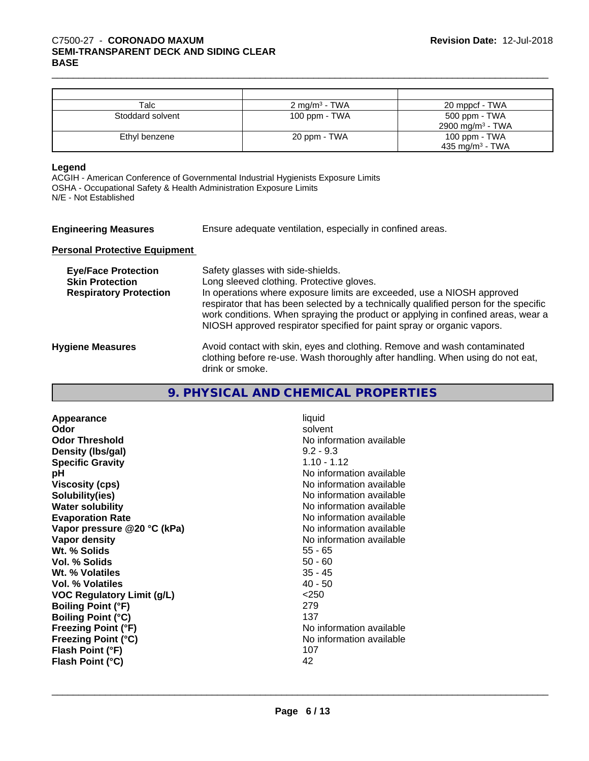| Talc             | $2 \text{ mg/m}^3$ - TWA | 20 mppcf - TWA               |
|------------------|--------------------------|------------------------------|
| Stoddard solvent | 100 ppm - TWA            | 500 ppm - TWA                |
|                  |                          | 2900 mg/m <sup>3</sup> - TWA |
| Ethyl benzene    | 20 ppm - TWA             | 100 ppm - TWA                |
|                  |                          | 435 mg/m <sup>3</sup> - TWA  |

#### **Legend**

ACGIH - American Conference of Governmental Industrial Hygienists Exposure Limits OSHA - Occupational Safety & Health Administration Exposure Limits N/E - Not Established

| <b>Engineering Measures</b>                                                           | Ensure adequate ventilation, especially in confined areas.                                                                                                                                                                                                                                                                                                                                                     |
|---------------------------------------------------------------------------------------|----------------------------------------------------------------------------------------------------------------------------------------------------------------------------------------------------------------------------------------------------------------------------------------------------------------------------------------------------------------------------------------------------------------|
| <b>Personal Protective Equipment</b>                                                  |                                                                                                                                                                                                                                                                                                                                                                                                                |
| <b>Eye/Face Protection</b><br><b>Skin Protection</b><br><b>Respiratory Protection</b> | Safety glasses with side-shields.<br>Long sleeved clothing. Protective gloves.<br>In operations where exposure limits are exceeded, use a NIOSH approved<br>respirator that has been selected by a technically qualified person for the specific<br>work conditions. When spraying the product or applying in confined areas, wear a<br>NIOSH approved respirator specified for paint spray or organic vapors. |
| <b>Hygiene Measures</b>                                                               | Avoid contact with skin, eyes and clothing. Remove and wash contaminated<br>clothing before re-use. Wash thoroughly after handling. When using do not eat,                                                                                                                                                                                                                                                     |

## **9. PHYSICAL AND CHEMICAL PROPERTIES**

| Appearance                        | liquid                   |
|-----------------------------------|--------------------------|
| Odor                              | solvent                  |
| <b>Odor Threshold</b>             | No information available |
| Density (Ibs/gal)                 | $9.2 - 9.3$              |
| <b>Specific Gravity</b>           | $1.10 - 1.12$            |
| рH                                | No information available |
| <b>Viscosity (cps)</b>            | No information available |
| Solubility(ies)                   | No information available |
| <b>Water solubility</b>           | No information available |
| <b>Evaporation Rate</b>           | No information available |
| Vapor pressure @20 °C (kPa)       | No information available |
| Vapor density                     | No information available |
| Wt. % Solids                      | 55 - 65                  |
| Vol. % Solids                     | $50 - 60$                |
| Wt. % Volatiles                   | $35 - 45$                |
| Vol. % Volatiles                  | 40 - 50                  |
| <b>VOC Regulatory Limit (g/L)</b> | < 250                    |
| <b>Boiling Point (°F)</b>         | 279                      |
| <b>Boiling Point (°C)</b>         | 137                      |
| <b>Freezing Point (°F)</b>        | No information available |
| <b>Freezing Point (°C)</b>        | No information available |
| Flash Point (°F)                  | 107                      |
| Flash Point (°C)                  | 42                       |

drink or smoke.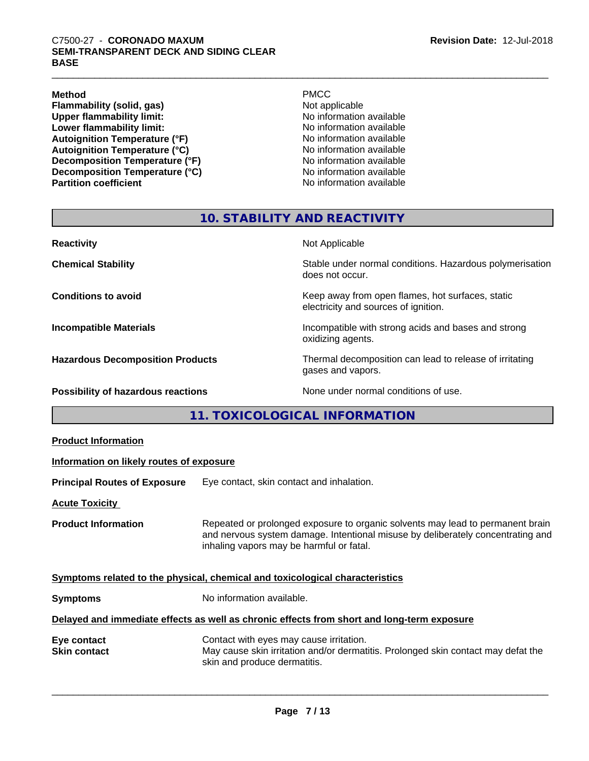#### **Method** PMCC

**Flammability (solid, gas)**<br> **Commability limit:**<br>
Upper flammability limit:<br>
Wo information available **Upper flammability limit:**<br>
Lower flammability limit:<br>
Lower flammability limit:<br>
No information available **Lower flammability limit:**<br> **Autoignition Temperature (°F)**<br>
Mo information available<br>
No information available Autoignition **Temperature** (°F) <br> **Autoignition Temperature (°C)** No information available<br>
No information available **Autoignition Temperature (°C)**<br> **Decomposition Temperature (°F)** No information available **Decomposition Temperature (°F)**<br> **Decomposition Temperature (°C)**<br>
No information available **Decomposition Temperature (°C) Partition coefficient Contract Contract Contract Contract Contract Contract Contract Contract Contract Contract Contract Contract Contract Contract Contract Contract Contract Contract Contract Contract Contract Contract** 

## **10. STABILITY AND REACTIVITY**

| <b>Reactivity</b>                       | Not Applicable                                                                           |
|-----------------------------------------|------------------------------------------------------------------------------------------|
| <b>Chemical Stability</b>               | Stable under normal conditions. Hazardous polymerisation<br>does not occur.              |
| <b>Conditions to avoid</b>              | Keep away from open flames, hot surfaces, static<br>electricity and sources of ignition. |
| <b>Incompatible Materials</b>           | Incompatible with strong acids and bases and strong<br>oxidizing agents.                 |
| <b>Hazardous Decomposition Products</b> | Thermal decomposition can lead to release of irritating<br>gases and vapors.             |
| Possibility of hazardous reactions      | None under normal conditions of use.                                                     |

**11. TOXICOLOGICAL INFORMATION**

| <b>Product Information</b>                                                                 |                                                                                                                                                                                                               |  |
|--------------------------------------------------------------------------------------------|---------------------------------------------------------------------------------------------------------------------------------------------------------------------------------------------------------------|--|
| Information on likely routes of exposure                                                   |                                                                                                                                                                                                               |  |
| <b>Principal Routes of Exposure</b>                                                        | Eye contact, skin contact and inhalation.                                                                                                                                                                     |  |
| <b>Acute Toxicity</b>                                                                      |                                                                                                                                                                                                               |  |
| <b>Product Information</b>                                                                 | Repeated or prolonged exposure to organic solvents may lead to permanent brain<br>and nervous system damage. Intentional misuse by deliberately concentrating and<br>inhaling vapors may be harmful or fatal. |  |
| Symptoms related to the physical, chemical and toxicological characteristics               |                                                                                                                                                                                                               |  |
| <b>Symptoms</b>                                                                            | No information available.                                                                                                                                                                                     |  |
| Delayed and immediate effects as well as chronic effects from short and long-term exposure |                                                                                                                                                                                                               |  |
| Eye contact<br><b>Skin contact</b>                                                         | Contact with eyes may cause irritation.<br>May cause skin irritation and/or dermatitis. Prolonged skin contact may defat the<br>skin and produce dermatitis.                                                  |  |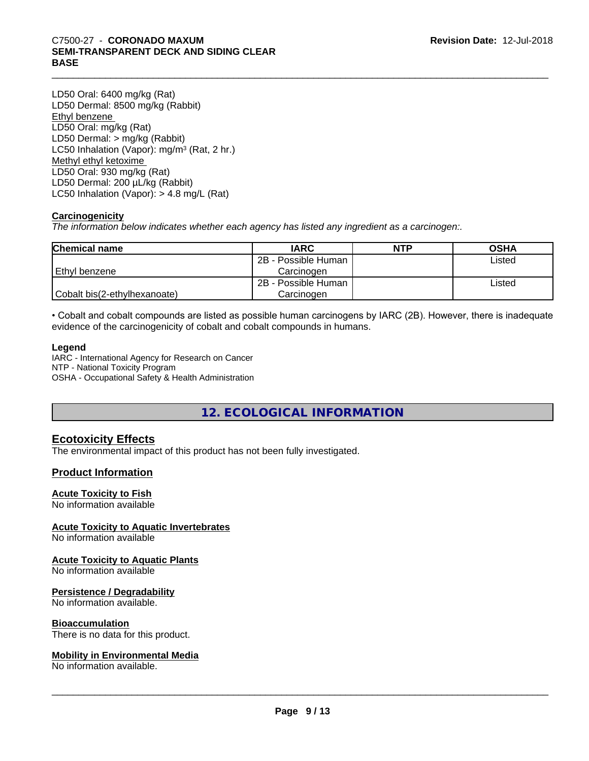LD50 Oral: 6400 mg/kg (Rat) LD50 Dermal: 8500 mg/kg (Rabbit) Ethyl benzene LD50 Oral: mg/kg (Rat) LD50 Dermal: > mg/kg (Rabbit) LC50 Inhalation (Vapor): mg/m<sup>3</sup> (Rat, 2 hr.) Methyl ethyl ketoxime LD50 Oral: 930 mg/kg (Rat) LD50 Dermal: 200 µL/kg (Rabbit) LC50 Inhalation (Vapor): > 4.8 mg/L (Rat)

### **Carcinogenicity**

*The information below indicateswhether each agency has listed any ingredient as a carcinogen:.*

| <b>Chemical name</b>         | <b>IARC</b>         | <b>NTP</b> | <b>OSHA</b> |
|------------------------------|---------------------|------------|-------------|
|                              | 2B - Possible Human |            | Listed      |
| Ethyl benzene                | Carcinoɑen          |            |             |
|                              | 2B - Possible Human |            | Listed      |
| Cobalt bis(2-ethylhexanoate) | Carcinoɑen          |            |             |

• Cobalt and cobalt compounds are listed as possible human carcinogens by IARC (2B). However, there is inadequate evidence of the carcinogenicity of cobalt and cobalt compounds in humans.

#### **Legend**

IARC - International Agency for Research on Cancer NTP - National Toxicity Program OSHA - Occupational Safety & Health Administration

**12. ECOLOGICAL INFORMATION**

### **Ecotoxicity Effects**

The environmental impact of this product has not been fully investigated.

### **Product Information**

#### **Acute Toxicity to Fish**

No information available

#### **Acute Toxicity to Aquatic Invertebrates**

No information available

#### **Acute Toxicity to Aquatic Plants**

No information available

#### **Persistence / Degradability**

No information available.

#### **Bioaccumulation**

There is no data for this product.

#### **Mobility in Environmental Media**

No information available.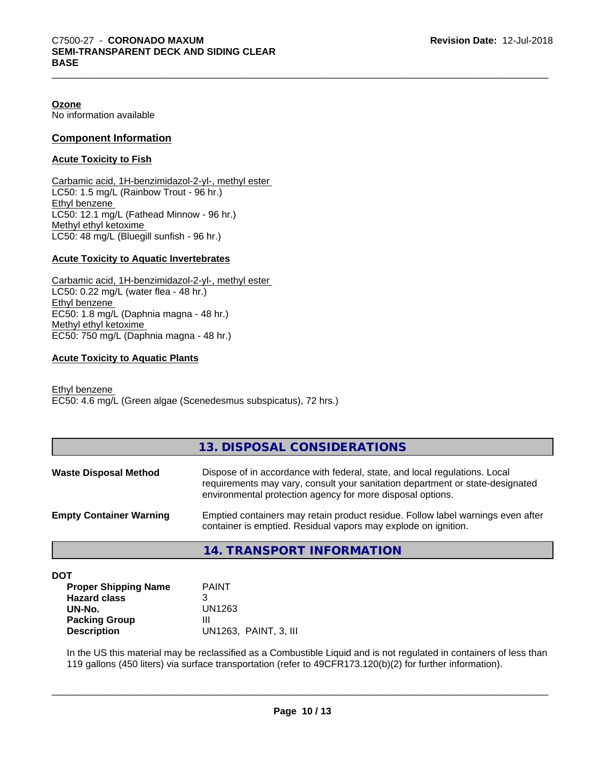#### **Ozone**

No information available

#### **Component Information**

#### **Acute Toxicity to Fish**

Carbamic acid, 1H-benzimidazol-2-yl-, methyl ester LC50: 1.5 mg/L (Rainbow Trout - 96 hr.) Ethyl benzene LC50: 12.1 mg/L (Fathead Minnow - 96 hr.) Methyl ethyl ketoxime LC50: 48 mg/L (Bluegill sunfish - 96 hr.)

#### **Acute Toxicity to Aquatic Invertebrates**

Carbamic acid, 1H-benzimidazol-2-yl-, methyl ester LC50: 0.22 mg/L (water flea - 48 hr.) Ethyl benzene EC50: 1.8 mg/L (Daphnia magna - 48 hr.) Methyl ethyl ketoxime EC50: 750 mg/L (Daphnia magna - 48 hr.)

#### **Acute Toxicity to Aquatic Plants**

Ethyl benzene EC50: 4.6 mg/L (Green algae (Scenedesmus subspicatus), 72 hrs.)

|                                | 14. TRANSPORT INFORMATION                                                                                                                                                                                                 |
|--------------------------------|---------------------------------------------------------------------------------------------------------------------------------------------------------------------------------------------------------------------------|
| <b>Empty Container Warning</b> | Emptied containers may retain product residue. Follow label warnings even after<br>container is emptied. Residual vapors may explode on ignition.                                                                         |
| <b>Waste Disposal Method</b>   | Dispose of in accordance with federal, state, and local regulations. Local<br>requirements may vary, consult your sanitation department or state-designated<br>environmental protection agency for more disposal options. |
|                                | 13. DISPOSAL CONSIDERATIONS                                                                                                                                                                                               |

**DOT**

| <b>Proper Shipping Name</b> | <b>PAINT</b>          |
|-----------------------------|-----------------------|
| <b>Hazard class</b>         |                       |
| UN-No.                      | UN1263                |
| <b>Packing Group</b>        | ш                     |
| <b>Description</b>          | UN1263, PAINT, 3, III |

In the US this material may be reclassified as a Combustible Liquid and is not regulated in containers of less than 119 gallons (450 liters) via surface transportation (refer to 49CFR173.120(b)(2) for further information).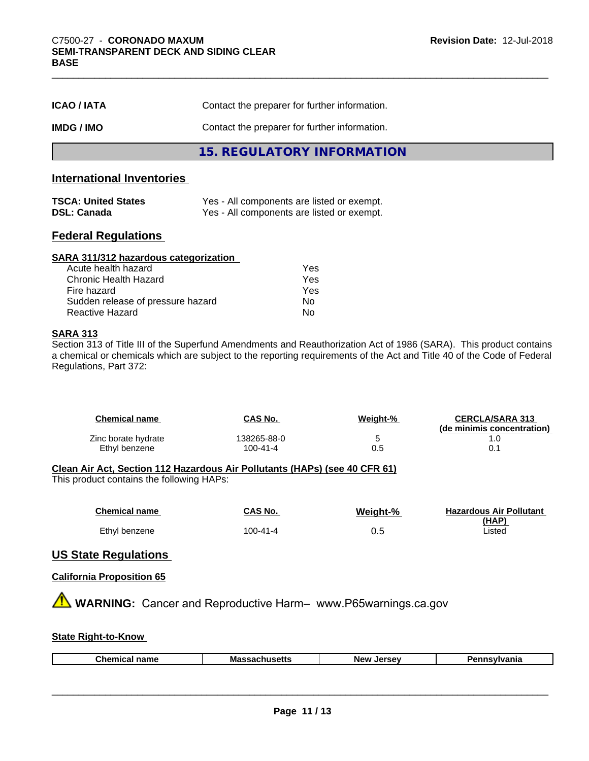| <b>ICAO/IATA</b> | Contact the preparer for further information. |
|------------------|-----------------------------------------------|
| <b>IMDG/IMO</b>  | Contact the preparer for further information. |
|                  | 15. REGULATORY INFORMATION                    |

### **International Inventories**

| <b>TSCA: United States</b> | Yes - All components are listed or exempt. |
|----------------------------|--------------------------------------------|
| <b>DSL: Canada</b>         | Yes - All components are listed or exempt. |

#### **Federal Regulations**

| SARA 311/312 hazardous categorization |     |  |
|---------------------------------------|-----|--|
| Acute health hazard                   | Yes |  |
| Chronic Health Hazard                 | Yes |  |
| Fire hazard                           | Yes |  |
| Sudden release of pressure hazard     | No  |  |
| <b>Reactive Hazard</b>                | No  |  |

#### **SARA 313**

Section 313 of Title III of the Superfund Amendments and Reauthorization Act of 1986 (SARA). This product contains a chemical or chemicals which are subject to the reporting requirements of the Act and Title 40 of the Code of Federal Regulations, Part 372:

| <b>Chemical name</b> | CAS No.     | Weight-% | <b>CERCLA/SARA 313</b><br>(de minimis concentration) |
|----------------------|-------------|----------|------------------------------------------------------|
| Zinc borate hydrate  | 138265-88-0 | h        |                                                      |
| Ethyl benzene        | 100-41-4    | 0.5      |                                                      |

#### **Clean Air Act,Section 112 Hazardous Air Pollutants (HAPs) (see 40 CFR 61)**

This product contains the following HAPs:

| <b>Chemical name</b> | CAS No.  | Weight-% | <b>Hazardous Air Pollutant</b><br>(HAP) |
|----------------------|----------|----------|-----------------------------------------|
| Ethyl benzene        | 100-41-4 | 0.5      | Listed                                  |

### **US State Regulations**

#### **California Proposition 65**

**A** WARNING: Cancer and Reproductive Harm– www.P65warnings.ca.gov

#### **State Right-to-Know**

|  |  | Chemical<br>`name | Massac<br>nuscus | <b>Jerse</b> y<br><b>Nev</b> | svlvania |
|--|--|-------------------|------------------|------------------------------|----------|
|--|--|-------------------|------------------|------------------------------|----------|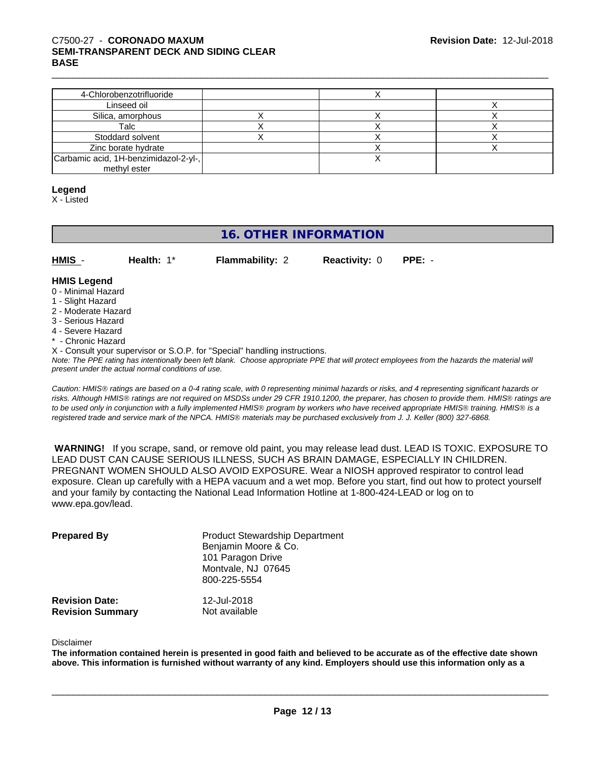| 4-Chlorobenzotrifluoride              |  |  |
|---------------------------------------|--|--|
| Linseed oil                           |  |  |
| Silica, amorphous                     |  |  |
| Talc                                  |  |  |
| Stoddard solvent                      |  |  |
| Zinc borate hydrate                   |  |  |
| Carbamic acid, 1H-benzimidazol-2-yl-, |  |  |
| methyl ester                          |  |  |

#### **Legend**

X - Listed

## **16. OTHER INFORMATION**

| HMIS | Health: $1^*$ | <b>Flammability: 2</b> | <b>Reactivity: 0 PPE: -</b> |  |
|------|---------------|------------------------|-----------------------------|--|
|      |               |                        |                             |  |

#### **HMIS Legend** 0 - Minimal Hazard

- 1 Slight Hazard
- 2 Moderate Hazard
- 3 Serious Hazard
- 4 Severe Hazard
- \* Chronic Hazard
- X Consult your supervisor or S.O.P. for "Special" handling instructions.

*Note: The PPE rating has intentionally been left blank. Choose appropriate PPE that will protect employees from the hazards the material will present under the actual normal conditions of use.*

*Caution: HMISÒ ratings are based on a 0-4 rating scale, with 0 representing minimal hazards or risks, and 4 representing significant hazards or risks. Although HMISÒ ratings are not required on MSDSs under 29 CFR 1910.1200, the preparer, has chosen to provide them. HMISÒ ratings are to be used only in conjunction with a fully implemented HMISÒ program by workers who have received appropriate HMISÒ training. HMISÒ is a registered trade and service mark of the NPCA. HMISÒ materials may be purchased exclusively from J. J. Keller (800) 327-6868.*

 **WARNING!** If you scrape, sand, or remove old paint, you may release lead dust. LEAD IS TOXIC. EXPOSURE TO LEAD DUST CAN CAUSE SERIOUS ILLNESS, SUCH AS BRAIN DAMAGE, ESPECIALLY IN CHILDREN. PREGNANT WOMEN SHOULD ALSO AVOID EXPOSURE.Wear a NIOSH approved respirator to control lead exposure. Clean up carefully with a HEPA vacuum and a wet mop. Before you start, find out how to protect yourself and your family by contacting the National Lead Information Hotline at 1-800-424-LEAD or log on to www.epa.gov/lead.

| <b>Prepared By</b>      | <b>Product Stewardship Department</b><br>Benjamin Moore & Co.<br>101 Paragon Drive<br>Montvale, NJ 07645<br>800-225-5554 |
|-------------------------|--------------------------------------------------------------------------------------------------------------------------|
| <b>Revision Date:</b>   | 12-Jul-2018                                                                                                              |
| <b>Revision Summary</b> | Not available                                                                                                            |

#### Disclaimer

The information contained herein is presented in good faith and believed to be accurate as of the effective date shown above. This information is furnished without warranty of any kind. Employers should use this information only as a